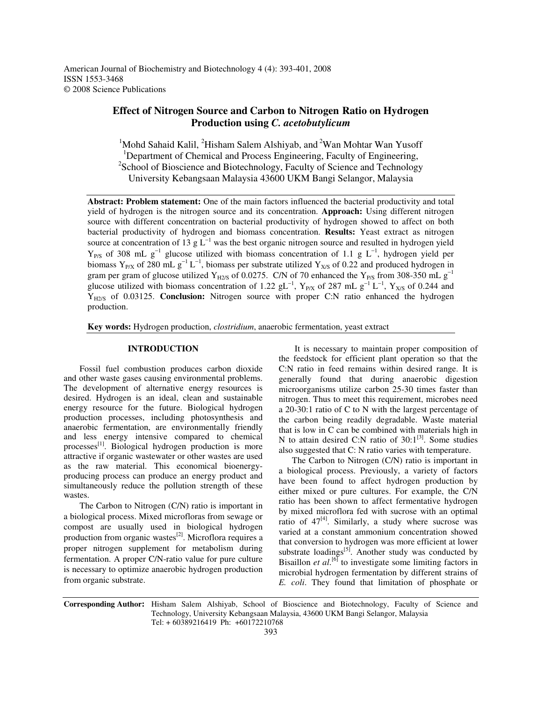American Journal of Biochemistry and Biotechnology 4 (4): 393-401, 2008 ISSN 1553-3468 © 2008 Science Publications

# **Effect of Nitrogen Source and Carbon to Nitrogen Ratio on Hydrogen Production using** *C. acetobutylicum*

<sup>1</sup>Mohd Sahaid Kalil, <sup>2</sup>Hisham Salem Alshiyab, and <sup>2</sup>Wan Mohtar Wan Yusoff <sup>1</sup>Department of Chemical and Process Engineering, Faculty of Engineering, <sup>2</sup>School of Bioscience and Biotechnology, Faculty of Science and Technology University Kebangsaan Malaysia 43600 UKM Bangi Selangor, Malaysia

**Abstract: Problem statement:** One of the main factors influenced the bacterial productivity and total yield of hydrogen is the nitrogen source and its concentration. **Approach:** Using different nitrogen source with different concentration on bacterial productivity of hydrogen showed to affect on both bacterial productivity of hydrogen and biomass concentration. **Results:** Yeast extract as nitrogen source at concentration of 13 g  $L^{-1}$  was the best organic nitrogen source and resulted in hydrogen yield  $Y_{P/S}$  of 308 mL  $g^{-1}$  glucose utilized with biomass concentration of 1.1 g L<sup>-1</sup>, hydrogen yield per biomass Y<sub>P/X</sub> of 280 mL  $g^{-1}L^{-1}$ , biomass per substrate utilized Y<sub>X/S</sub> of 0.22 and produced hydrogen in gram per gram of glucose utilized Y<sub>H2/S</sub> of 0.0275. C/N of 70 enhanced the Y<sub>P/S</sub> from 308-350 mL g<sup>-1</sup> glucose utilized with biomass concentration of 1.22 gL<sup>-1</sup>, Y<sub>P/X</sub> of 287 mL g<sup>-1</sup> L<sup>-1</sup>, Y<sub>X/S</sub> of 0.244 and YH2/S of 0.03125. **Conclusion:** Nitrogen source with proper C:N ratio enhanced the hydrogen production.

**Key words:** Hydrogen production, *clostridium*, anaerobic fermentation, yeast extract

## **INTRODUCTION**

Fossil fuel combustion produces carbon dioxide and other waste gases causing environmental problems. The development of alternative energy resources is desired. Hydrogen is an ideal, clean and sustainable energy resource for the future. Biological hydrogen production processes, including photosynthesis and anaerobic fermentation, are environmentally friendly and less energy intensive compared to chemical processes<sup>[1]</sup>. Biological hydrogen production is more attractive if organic wastewater or other wastes are used as the raw material. This economical bioenergyproducing process can produce an energy product and simultaneously reduce the pollution strength of these wastes.

The Carbon to Nitrogen (C/N) ratio is important in a biological process. Mixed microfloras from sewage or compost are usually used in biological hydrogen production from organic wastes<sup>[2]</sup>. Microflora requires a proper nitrogen supplement for metabolism during fermentation. A proper C/N-ratio value for pure culture is necessary to optimize anaerobic hydrogen production from organic substrate.

It is necessary to maintain proper composition of the feedstock for efficient plant operation so that the C:N ratio in feed remains within desired range. It is generally found that during anaerobic digestion microorganisms utilize carbon 25-30 times faster than nitrogen. Thus to meet this requirement, microbes need a 20-30:1 ratio of C to N with the largest percentage of the carbon being readily degradable. Waste material that is low in C can be combined with materials high in N to attain desired C:N ratio of  $30:1^{31}$ . Some studies also suggested that C: N ratio varies with temperature.

The Carbon to Nitrogen (C/N) ratio is important in a biological process. Previously, a variety of factors have been found to affect hydrogen production by either mixed or pure cultures. For example, the C/N ratio has been shown to affect fermentative hydrogen by mixed microflora fed with sucrose with an optimal ratio of  $47^{[4]}$ . Similarly, a study where sucrose was varied at a constant ammonium concentration showed that conversion to hydrogen was more efficient at lower substrate loadings<sup>[5]</sup>. Another study was conducted by Bisaillon *et al*.<sup>[6]</sup> to investigate some limiting factors in microbial hydrogen fermentation by different strains of *E. coli*. They found that limitation of phosphate or

**Corresponding Author:** Hisham Salem Alshiyab, School of Bioscience and Biotechnology, Faculty of Science and Technology, University Kebangsaan Malaysia, 43600 UKM Bangi Selangor, Malaysia Tel: + 60389216419 Ph: +60172210768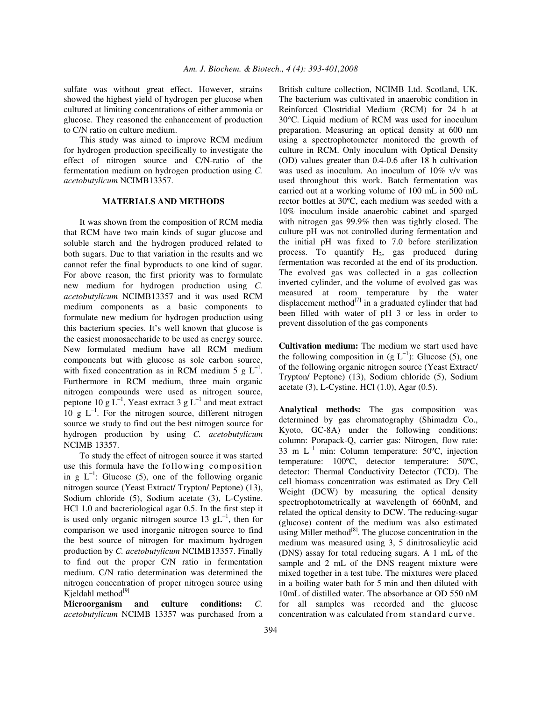sulfate was without great effect. However, strains showed the highest yield of hydrogen per glucose when cultured at limiting concentrations of either ammonia or glucose. They reasoned the enhancement of production to C/N ratio on culture medium.

This study was aimed to improve RCM medium for hydrogen production specifically to investigate the effect of nitrogen source and C/N-ratio of the fermentation medium on hydrogen production using *C. acetobutylicum* NCIMB13357.

# **MATERIALS AND METHODS**

It was shown from the composition of RCM media that RCM have two main kinds of sugar glucose and soluble starch and the hydrogen produced related to both sugars. Due to that variation in the results and we cannot refer the final byproducts to one kind of sugar. For above reason, the first priority was to formulate new medium for hydrogen production using *C. acetobutylicum* NCIMB13357 and it was used RCM medium components as a basic components to formulate new medium for hydrogen production using this bacterium species. It's well known that glucose is the easiest monosaccharide to be used as energy source. New formulated medium have all RCM medium components but with glucose as sole carbon source, with fixed concentration as in RCM medium 5  $g L^{-1}$ . Furthermore in RCM medium, three main organic nitrogen compounds were used as nitrogen source, peptone 10 g  $L^{-1}$ , Yeast extract 3 g  $L^{-1}$  and meat extract 10 g  $L^{-1}$ . For the nitrogen source, different nitrogen source we study to find out the best nitrogen source for hydrogen production by using *C. acetobutylicum* NCIMB 13357.

To study the effect of nitrogen source it was started use this formula have the following composition in g  $L^{-1}$ : Glucose (5), one of the following organic nitrogen source (Yeast Extract/ Trypton/ Peptone) (13), Sodium chloride (5), Sodium acetate (3), L-Cystine. HCl 1.0 and bacteriological agar 0.5. In the first step it is used only organic nitrogen source 13  $gL^{-1}$ , then for comparison we used inorganic nitrogen source to find the best source of nitrogen for maximum hydrogen production by *C. acetobutylicum* NCIMB13357. Finally to find out the proper C/N ratio in fermentation medium. C/N ratio determination was determined the nitrogen concentration of proper nitrogen source using Kjeldahl method<sup>[9]</sup>

**Microorganism and culture conditions:** *C. acetobutylicum* NCIMB 13357 was purchased from a British culture collection, NCIMB Ltd. Scotland, UK. The bacterium was cultivated in anaerobic condition in Reinforced Clostridial Medium (RCM) for 24 h at 30°C. Liquid medium of RCM was used for inoculum preparation. Measuring an optical density at 600 nm using a spectrophotometer monitored the growth of culture in RCM. Only inoculum with Optical Density (OD) values greater than 0.4-0.6 after 18 h cultivation was used as inoculum. An inoculum of 10% v/v was used throughout this work. Batch fermentation was carried out at a working volume of 100 mL in 500 mL rector bottles at 30ºC, each medium was seeded with a 10% inoculum inside anaerobic cabinet and sparged with nitrogen gas 99.9% then was tightly closed. The culture pH was not controlled during fermentation and the initial pH was fixed to 7.0 before sterilization process. To quantify  $H_2$ , gas produced during fermentation was recorded at the end of its production. The evolved gas was collected in a gas collection inverted cylinder, and the volume of evolved gas was measured at room temperature by the water displacement method $^{[7]}$  in a graduated cylinder that had been filled with water of pH 3 or less in order to prevent dissolution of the gas components

**Cultivation medium:** The medium we start used have the following composition in  $(g L^{-1})$ : Glucose (5), one of the following organic nitrogen source (Yeast Extract/ Trypton/ Peptone) (13), Sodium chloride (5), Sodium acetate (3), L-Cystine. HCl (1.0), Agar (0.5).

**Analytical methods:** The gas composition was determined by gas chromatography (Shimadzu Co., Kyoto, GC-8A) under the following conditions: column: Porapack-Q, carrier gas: Nitrogen, flow rate: 33 m  $L^{-1}$  min: Column temperature: 50°C, injection temperature: 100ºC, detector temperature: 50ºC, detector: Thermal Conductivity Detector (TCD). The cell biomass concentration was estimated as Dry Cell Weight (DCW) by measuring the optical density spectrophotometrically at wavelength of 660nM, and related the optical density to DCW. The reducing-sugar (glucose) content of the medium was also estimated using Miller method<sup>[8]</sup>. The glucose concentration in the medium was measured using 3, 5 dinitrosalicylic acid (DNS) assay for total reducing sugars. A 1 mL of the sample and 2 mL of the DNS reagent mixture were mixed together in a test tube. The mixtures were placed in a boiling water bath for 5 min and then diluted with 10mL of distilled water. The absorbance at OD 550 nM for all samples was recorded and the glucose concentration was calculated from standard curve.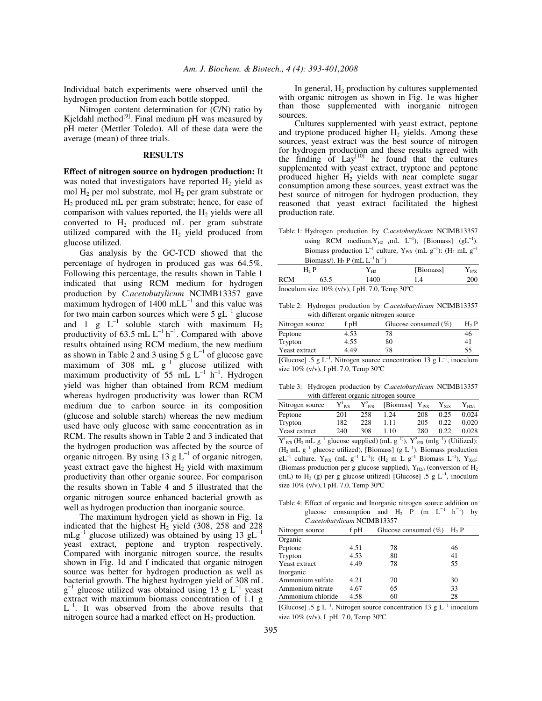Individual batch experiments were observed until the hydrogen production from each bottle stopped.

Nitrogen content determination for (C/N) ratio by Kjeldahl method<sup>[9]</sup>. Final medium pH was measured by pH meter (Mettler Toledo). All of these data were the average (mean) of three trials.

# **RESULTS**

**Effect of nitrogen source on hydrogen production:** It was noted that investigators have reported  $H<sub>2</sub>$  yield as mol  $H_2$  per mol substrate, mol  $H_2$  per gram substrate or H<sup>2</sup> produced mL per gram substrate; hence, for ease of comparison with values reported, the  $H<sub>2</sub>$  yields were all converted to  $H_2$  produced mL per gram substrate utilized compared with the  $H<sub>2</sub>$  yield produced from glucose utilized.

Gas analysis by the GC-TCD showed that the percentage of hydrogen in produced gas was 64.5%. Following this percentage, the results shown in Table 1 indicated that using RCM medium for hydrogen production by *C.acetobutylicum* NCIMB13357 gave  $_{\rm maximum}$  hydrogen of 1400 mLL<sup>-1</sup> and this value was for two main carbon sources which were  $5 \text{ gL}^{-1}$  glucose and 1 g  $L^{-1}$  soluble starch with maximum  $H_2$ productivity of 63.5 mL  $L^{-1}$  h<sup>-1</sup>. Compared with above results obtained using RCM medium, the new medium as shown in Table 2 and 3 using 5  $g L^{-1}$  of glucose gave maximum of 308 mL  $g^{-1}$  glucose utilized with maximum productivity of 55 mL  $L^{-1}$  h<sup>-1</sup>. Hydrogen yield was higher than obtained from RCM medium whereas hydrogen productivity was lower than RCM medium due to carbon source in its composition (glucose and soluble starch) whereas the new medium used have only glucose with same concentration as in RCM. The results shown in Table 2 and 3 indicated that the hydrogen production was affected by the source of organic nitrogen. By using 13 g  $L^{-1}$  of organic nitrogen, yeast extract gave the highest  $H_2$  yield with maximum productivity than other organic source. For comparison the results shown in Table 4 and 5 illustrated that the organic nitrogen source enhanced bacterial growth as well as hydrogen production than inorganic source.

The maximum hydrogen yield as shown in Fig. 1a indicated that the highest  $H_2$  yield (308, 258 and 228)  $mLg^{-1}$  glucose utilized) was obtained by using 13 gL<sup>-1</sup> yeast extract, peptone and trypton respectively. Compared with inorganic nitrogen source, the results shown in Fig. 1d and f indicated that organic nitrogen source was better for hydrogen production as well as bacterial growth. The highest hydrogen yield of 308 mL  $g^{-1}$  glucose utilized was obtained using 13 g L<sup>-1</sup> yeast extract with maximum biomass concentration of 1.1 g  $L^{-1}$ . It was observed from the above results that nitrogen source had a marked effect on  $H_2$  production.

In general,  $H_2$  production by cultures supplemented with organic nitrogen as shown in Fig. 1e was higher than those supplemented with inorganic nitrogen sources.

Cultures supplemented with yeast extract, peptone and tryptone produced higher  $H<sub>2</sub>$  yields. Among these sources, yeast extract was the best source of nitrogen for hydrogen production and these results agreed with the finding of  $\text{Lay}^{[10]}$  he found that the cultures supplemented with yeast extract, tryptone and peptone produced higher  $H_2$  yields with near complete sugar consumption among these sources, yeast extract was the best source of nitrogen for hydrogen production, they reasoned that yeast extract facilitated the highest production rate.

Table 1: Hydrogen production by *C.acetobutylicum* NCIMB13357 using RCM medium.  $Y_{H2}$  (mL  $L^{-1}$ ), [Biomass] (gL<sup>-1</sup>). Biomass production  $L^{-1}$  culture,  $Y_{P/X}$  (mL  $g^{-1}$ ): (H<sub>2</sub> mL  $g^{-1}$ 

|                                                  | Biomass/). H <sub>2</sub> P (mL $L^{-1}$ h <sup>-1</sup> ) |                    |           |           |  |
|--------------------------------------------------|------------------------------------------------------------|--------------------|-----------|-----------|--|
| $H2$ P                                           |                                                            | ${\rm Y}_{\rm H2}$ | [Biomass] | $Y_{P/X}$ |  |
| <b>RCM</b>                                       | 1400<br>63.5<br>14                                         |                    |           | 200       |  |
| Inoculum size $10\%$ (v/v), I pH. 7.0, Temp 30°C |                                                            |                    |           |           |  |

Table 2: Hydrogen production by *C.acetobutylicum* NCIMB13357 with different organic nitrogen source

| Nitrogen source | f pH | Glucose consumed $(\% )$ | H <sub>2</sub> P |
|-----------------|------|--------------------------|------------------|
| Peptone         | 4.53 | 78                       | 46               |
| Trypton         | 4.55 | 80                       | 4                |
| Yeast extract   | 4.49 | 78                       | 55               |

[Glucose] .5 g  $L^{-1}$ , Nitrogen source concentration 13 g  $L^{-1}$ , inoculum size 10% (v/v), I pH. 7.0, Temp 30ºC

Table 3: Hydrogen production by *C.acetobutylicum* NCIMB13357 with different organic nitrogen source

| Nitrogen source                               | $Y^1_{P/S}$ |     | $Y_{P/S}^2$ [Biomass] $Y_{P/X}$ |     | $Y_{X/S}$ | $Y_{H2/s}$ |
|-----------------------------------------------|-------------|-----|---------------------------------|-----|-----------|------------|
| Peptone                                       | 201         | 258 | 1.24                            | 208 | 0.25      | 0.024      |
| Trypton                                       | 182         | 228 | 1.11                            | 205 | 0.22      | 0.020      |
| Yeast extract                                 | 240         | 308 | 1.10                            | 280 | 0.22      | 0.028      |
| $\sim$ 1.000 $\sim$ 0.000 $\sim$ 0.000 $\sim$ |             |     |                                 |     |           |            |

 $Y_{P/S}^1$  (H<sub>2</sub> mL g<sup>-1</sup> glucose supplied) (mL g<sup>-1)</sup>),  $Y_{P/S}^2$  (mlg<sup>-1</sup>) (Utilized):  $(H_2 mL g^{-1}$  glucose utilized), [Biomass] (g  $L^{-1}$ ). Biomass production  $gL^{-1}$  culture,  $Y_{P/X}$  (mL  $g^{-1}$   $L^{-1}$ ): (H<sub>2</sub> m L  $g^{-1}$  Biomass  $L^{-1}$ ),  $Y_{X/S}$ : (Biomass production per g glucose supplied),  $Y_{H2/s}$  (conversion of  $H_2$ ) (mL) to H<sub>2</sub> (g) per g glucose utilized) [Glucose] .5 g  $L^{-1}$ , inoculum size 10% (v/v), I pH. 7.0, Temp 30ºC

Table 4: Effect of organic and Inorganic nitrogen source addition on glucose consumption and  $H_2$  P (m  $L^{-1}$  h<sup>-1</sup>) by

| C.acetobutylicum NCIMB13357 |      |                         |        |  |  |  |
|-----------------------------|------|-------------------------|--------|--|--|--|
| Nitrogen source             | f pH | Glucose consumed $(\%)$ | $H2$ P |  |  |  |
| Organic                     |      |                         |        |  |  |  |
| Peptone                     | 4.51 | 78                      | 46     |  |  |  |
| Trypton                     | 4.53 | 80                      | 41     |  |  |  |
| Yeast extract               | 4.49 | 78                      | 55     |  |  |  |
| Inorganic                   |      |                         |        |  |  |  |
| Ammonium sulfate            | 4.21 | 70                      | 30     |  |  |  |
| Ammonium nitrate            | 4.67 | 65                      | 33     |  |  |  |
| Ammonium chloride           | 4.58 | 60                      | 28     |  |  |  |

[Glucose] .5 g  $L^{-1}$ , Nitrogen source concentration 13 g  $L^{-1}$  inoculum size 10% (v/v), I pH. 7.0, Temp 30ºC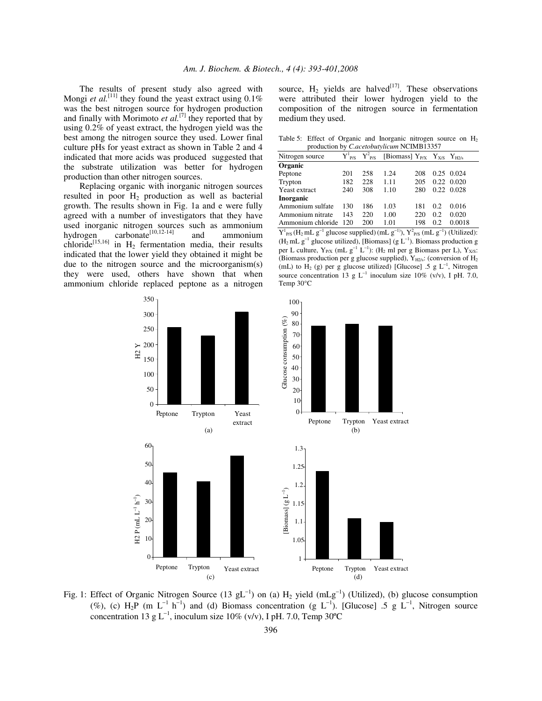The results of present study also agreed with Mongi *et al.*<sup>[11]</sup> they found the yeast extract using  $0.1\%$ was the best nitrogen source for hydrogen production and finally with Morimoto  $et$   $al$ <sup>[7]</sup> they reported that by using 0.2% of yeast extract, the hydrogen yield was the best among the nitrogen source they used. Lower final culture pHs for yeast extract as shown in Table 2 and 4 indicated that more acids was produced suggested that the substrate utilization was better for hydrogen production than other nitrogen sources.

Replacing organic with inorganic nitrogen sources resulted in poor  $H<sub>2</sub>$  production as well as bacterial growth. The results shown in Fig. 1a and e were fully agreed with a number of investigators that they have used inorganic nitrogen sources such as ammonium hydrogen carbonate<sup>[10,12-14]</sup> and ammonium chloride<sup>[15,16]</sup> in  $H_2$  fermentation media, their results indicated that the lower yield they obtained it might be due to the nitrogen source and the microorganism(s) they were used, others have shown that when ammonium chloride replaced peptone as a nitrogen

source,  $H_2$  yields are halved<sup>[17]</sup>. These observations were attributed their lower hydrogen yield to the composition of the nitrogen source in fermentation medium they used.

Table 5: Effect of Organic and Inorganic nitrogen source on  $H_2$ production by *C.acetobutylicum* NCIMB13357

| Nitrogen source   |     |     | $Y_{P/S}^1$ $Y_{P/S}^2$ [Biomass] $Y_{P/X}$ $Y_{X/S}$ $Y_{H2/s}$ |     |      |            |
|-------------------|-----|-----|------------------------------------------------------------------|-----|------|------------|
| Organic           |     |     |                                                                  |     |      |            |
| Peptone           | 201 | 258 | 1.24                                                             | 208 | 0.25 | 0.024      |
| Trypton           | 182 | 228 | 1.11                                                             | 205 | 0.22 | 0.020      |
| Yeast extract     | 240 | 308 | 1.10                                                             | 280 |      | 0.22 0.028 |
| Inorganic         |     |     |                                                                  |     |      |            |
| Ammonium sulfate  | 130 | 186 | 1.03                                                             | 181 | 0.2  | 0.016      |
| Ammonium nitrate  | 143 | 220 | 1.00                                                             | 220 | 0.2  | 0.020      |
| Ammonium chloride | 120 | 200 | 1.01                                                             | 198 | 0.2  | 0.0018     |

 $Y^1_{P/S}$  (H<sub>2</sub> mL g<sup>-1</sup> glucose supplied) (mL g<sup>-1)</sup>),  $Y^2_{P/S}$  (mL g<sup>-1</sup>) (Utilized):  $(H_2 mL g^{-1}$  glucose utilized), [Biomass] (g  $L^{-1}$ ). Biomass production g per L culture,  $Y_{P/X}$  (mL  $g^{-1}$  L<sup>-1</sup>): (H<sub>2</sub> ml per g Biomass per L),  $Y_{X/S}$ : (Biomass production per g glucose supplied),  $Y_{H2/s}$ : (conversion of  $H_2$ (mL) to H<sub>2</sub> (g) per g glucose utilized) [Glucose] .5 g  $L^{-1}$ , Nitrogen source concentration 13 g L<sup>-1</sup> inoculum size 10% (v/v), I pH. 7.0, Temp 30°C



Fig. 1: Effect of Organic Nitrogen Source (13 gL<sup>-1</sup>) on (a)  $H_2$  yield (mLg<sup>-1</sup>) (Utilized), (b) glucose consumption (%), (c)  $H_2P$  (m  $L^{-1}$  h<sup>-1</sup>) and (d) Biomass concentration (g  $L^{-1}$ ). [Glucose] .5 g  $L^{-1}$ , Nitrogen source concentration 13 g L<sup>-1</sup>, inoculum size 10% (v/v), I pH. 7.0, Temp 30°C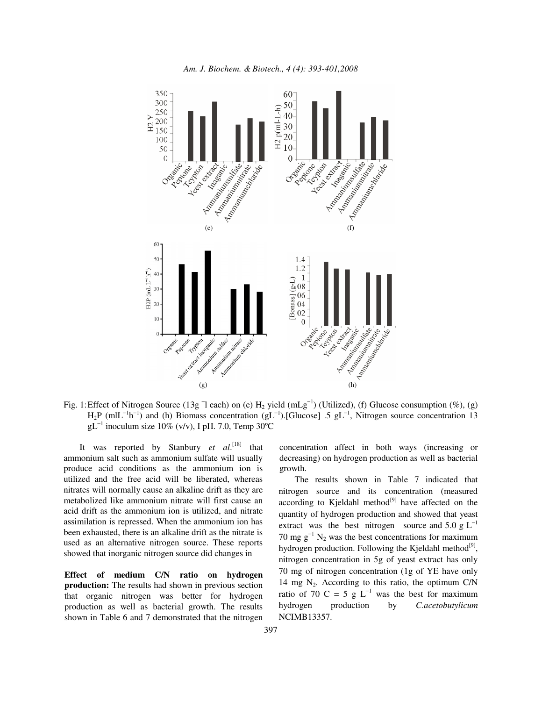

Fig. 1: Effect of Nitrogen Source (13g  $\exists$  each) on (e)  $H_2$  yield (mLg<sup>-1</sup>) (Utilized), (f) Glucose consumption (%), (g)  $H_2P$  (mlL<sup>-1</sup>h<sup>-1</sup>) and (h) Biomass concentration (gL<sup>-1</sup>).[Glucose] .5 gL<sup>-1</sup>, Nitrogen source concentration 13  $gL^{-1}$  inoculum size 10% (v/v), I pH. 7.0, Temp 30°C

It was reported by Stanbury *et al*.<sup>[18]</sup> that ammonium salt such as ammonium sulfate will usually produce acid conditions as the ammonium ion is utilized and the free acid will be liberated, whereas nitrates will normally cause an alkaline drift as they are metabolized like ammonium nitrate will first cause an acid drift as the ammonium ion is utilized, and nitrate assimilation is repressed. When the ammonium ion has been exhausted, there is an alkaline drift as the nitrate is used as an alternative nitrogen source. These reports showed that inorganic nitrogen source did changes in

**Effect of medium C/N ratio on hydrogen production:** The results had shown in previous section that organic nitrogen was better for hydrogen production as well as bacterial growth. The results shown in Table 6 and 7 demonstrated that the nitrogen concentration affect in both ways (increasing or decreasing) on hydrogen production as well as bacterial growth.

The results shown in Table 7 indicated that nitrogen source and its concentration (measured according to Kjeldahl method<sup>[9]</sup> have affected on the quantity of hydrogen production and showed that yeast extract was the best nitrogen source and  $5.0 \text{ g L}^{-1}$ 70 mg  $g^{-1}$  N<sub>2</sub> was the best concentrations for maximum hydrogen production. Following the Kjeldahl method<sup>[9]</sup>, nitrogen concentration in 5g of yeast extract has only 70 mg of nitrogen concentration (1g of YE have only 14 mg  $N_2$ . According to this ratio, the optimum C/N ratio of 70 C = 5 g  $L^{-1}$  was the best for maximum hydrogen production by *C.acetobutylicum* NCIMB13357.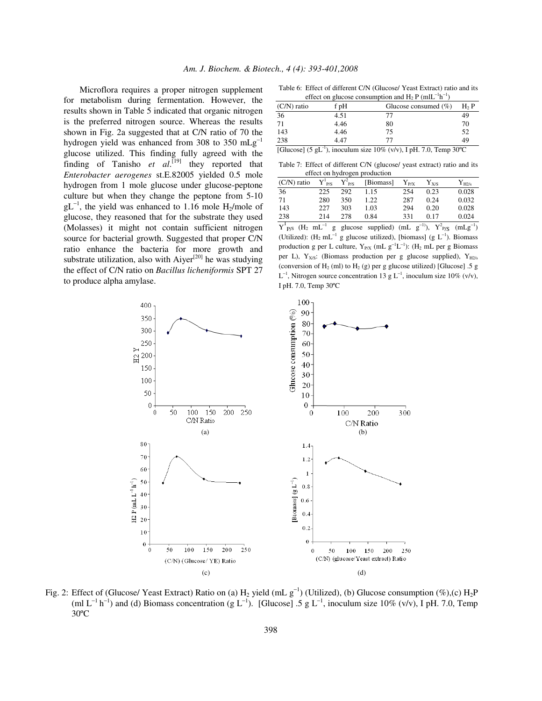Microflora requires a proper nitrogen supplement for metabolism during fermentation. However, the results shown in Table 5 indicated that organic nitrogen is the preferred nitrogen source. Whereas the results shown in Fig. 2a suggested that at C/N ratio of 70 the hydrogen yield was enhanced from 308 to 350  $mLg^{-1}$ glucose utilized. This finding fully agreed with the finding of Tanisho  $et$   $al$ <sup>[19]</sup> they reported that *Enterobacter aerogenes* st.E.82005 yielded 0.5 mole hydrogen from 1 mole glucose under glucose-peptone culture but when they change the peptone from 5-10  $gL^{-1}$ , the yield was enhanced to 1.16 mole H<sub>2</sub>/mole of glucose, they reasoned that for the substrate they used (Molasses) it might not contain sufficient nitrogen source for bacterial growth. Suggested that proper C/N ratio enhance the bacteria for more growth and substrate utilization, also with Aiyer $[20]$  he was studying the effect of C/N ratio on *Bacillus licheniformis* SPT 27 to produce alpha amylase.

Table 6: Effect of different C/N (Glucose/ Yeast Extract) ratio and its<br>  $\mathcal{L}_{\text{B}}$  ( $\mathcal{L}_{\text{B}}$ )  $\mathcal{L}_{\text{B}}$  ( $\mathcal{L}_{\text{B}}$ )  $\mathcal{L}_{\text{B}}$  ( $\mathcal{L}_{\text{B}}$ )  $\mathcal{L}_{\text{B}}$ ) −1 −1

| effect on glucose consumption and $H_2 P (mIL^{-1}h^{-1})$ |      |                          |        |  |  |
|------------------------------------------------------------|------|--------------------------|--------|--|--|
| $(C/N)$ ratio                                              | f pH | Glucose consumed $(\% )$ | $H2$ P |  |  |
| 36                                                         | 4.51 |                          | 49     |  |  |
| 71                                                         | 4.46 | 80                       | 70     |  |  |
| 143                                                        | 4.46 | 75                       | 52     |  |  |
| 238                                                        | 4.47 |                          | 49     |  |  |

[Glucose] (5 gL<sup>-1</sup>), inoculum size  $10\%$  (v/v), I pH. 7.0, Temp 30°C

Table 7: Effect of different C/N (glucose/ yeast extract) ratio and its effect on hydrogen production

| $(C/N)$ ratio | $Y^1$ <sub>P/S</sub> | $Y^2$ <sub>P/S</sub> | [Biomass] | ${\rm Y_{P/X}}$ | ${\rm Y}_{\rm X/S}$ | $Y_{H2/s}$ |
|---------------|----------------------|----------------------|-----------|-----------------|---------------------|------------|
| 36            | 225                  | 292                  | 1.15      | 254             | 0.23                | 0.028      |
| 71            | 280                  | 350                  | 1.22      | 287             | 0.24                | 0.032      |
| 143           | 227                  | 303                  | 1.03      | 294             | 0.20                | 0.028      |
| 238           | 214                  | 278                  | 0.84      | 331             | 0.17                | 0.024      |
|               |                      |                      |           |                 | $\sim$              |            |

 $Y^1_{P/S}$  (H<sub>2</sub> mL<sup>-1</sup> g glucose supplied) (mL g<sup>-1)</sup>),  $Y^2_{P/S}$  (mLg<sup>-1</sup>) (Utilized):  $(H_2 mL^{-1} g glucose utilized)$ , [biomass]  $(g L^{-1})$ . Biomass production g per L culture,  $Y_{P/X}$  (mL  $g^{-1}L^{-1}$ ): (H<sub>2</sub> mL per g Biomass per L),  $Y_{X/S}$ : (Biomass production per g glucose supplied),  $Y_{H2/s}$ (conversion of  $H_2$  (ml) to  $H_2$  (g) per g glucose utilized) [Glucose] .5 g  $L^{-1}$ , Nitrogen source concentration 13 g  $L^{-1}$ , inoculum size 10% (v/v), I pH. 7.0, Temp 30ºC



Fig. 2: Effect of (Glucose/ Yeast Extract) Ratio on (a)  $H_2$  yield (mL  $g^{-1}$ ) (Utilized), (b) Glucose consumption (%),(c)  $H_2P$ (ml  $L^{-1}$  h<sup>-1</sup>) and (d) Biomass concentration (g  $L^{-1}$ ). [Glucose] .5 g  $L^{-1}$ , inoculum size 10% (v/v), I pH. 7.0, Temp 30ºC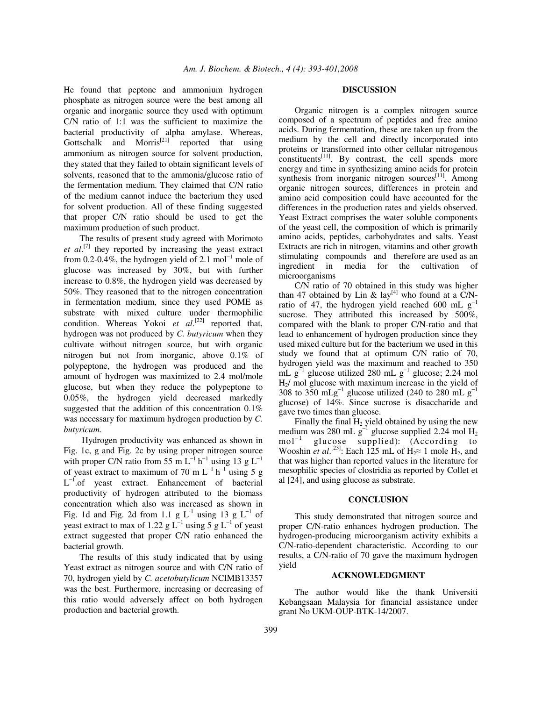He found that peptone and ammonium hydrogen phosphate as nitrogen source were the best among all organic and inorganic source they used with optimum C/N ratio of 1:1 was the sufficient to maximize the bacterial productivity of alpha amylase. Whereas, Gottschalk and Morris<sup>[21]</sup> reported that using ammonium as nitrogen source for solvent production, they stated that they failed to obtain significant levels of solvents, reasoned that to the ammonia/glucose ratio of the fermentation medium. They claimed that C/N ratio of the medium cannot induce the bacterium they used for solvent production. All of these finding suggested that proper C/N ratio should be used to get the maximum production of such product.

The results of present study agreed with Morimoto *et al*. [7] they reported by increasing the yeast extract from 0.2-0.4%, the hydrogen yield of 2.1 mol<sup>-1</sup> mole of glucose was increased by 30%, but with further increase to 0.8%, the hydrogen yield was decreased by 50%. They reasoned that to the nitrogen concentration in fermentation medium, since they used POME as substrate with mixed culture under thermophilic condition. Whereas Yokoi et al.<sup>[22]</sup> reported that, hydrogen was not produced by *C. butyricum* when they cultivate without nitrogen source, but with organic nitrogen but not from inorganic, above 0.1% of polypeptone, the hydrogen was produced and the amount of hydrogen was maximized to 2.4 mol/mole glucose, but when they reduce the polypeptone to 0.05%, the hydrogen yield decreased markedly suggested that the addition of this concentration 0.1% was necessary for maximum hydrogen production by *C. butyricum*.

Hydrogen productivity was enhanced as shown in Fig. 1c, g and Fig. 2c by using proper nitrogen source with proper C/N ratio from 55 m  $L^{-1}$   $h^{-1}$  using 13 g  $L^{-1}$ of yeast extract to maximum of 70 m  $L^{-1}$  h<sup>-1</sup> using 5 g  $L^{-1}$ .of yeast extract. Enhancement of bacterial productivity of hydrogen attributed to the biomass concentration which also was increased as shown in Fig. 1d and Fig. 2d from 1.1 g  $L^{-1}$  using 13 g  $L^{-1}$  of yeast extract to max of 1.22  $g L^{-1}$  using 5  $g L^{-1}$  of yeast extract suggested that proper C/N ratio enhanced the bacterial growth.

The results of this study indicated that by using Yeast extract as nitrogen source and with C/N ratio of 70, hydrogen yield by *C. acetobutylicum* NCIMB13357 was the best. Furthermore, increasing or decreasing of this ratio would adversely affect on both hydrogen production and bacterial growth.

### **DISCUSSION**

Organic nitrogen is a complex nitrogen source composed of a spectrum of peptides and free amino acids. During fermentation, these are taken up from the medium by the cell and directly incorporated into proteins or transformed into other cellular nitrogenous  $\frac{1}{2}$  constituents<sup>[11]</sup>. By contrast, the cell spends more energy and time in synthesizing amino acids for protein synthesis from inorganic nitrogen sources<sup>[11]</sup>. Among organic nitrogen sources, differences in protein and amino acid composition could have accounted for the differences in the production rates and yields observed. Yeast Extract comprises the water soluble components of the yeast cell, the composition of which is primarily amino acids, peptides, carbohydrates and salts. Yeast Extracts are rich in nitrogen, vitamins and other growth stimulating compounds and therefore are used as an ingredient in media for the cultivation of microorganisms

C/N ratio of 70 obtained in this study was higher than 47 obtained by Lin & lay<sup>[4]</sup> who found at a  $\text{C/N}$ ratio of 47, the hydrogen yield reached 600 mL  $g^{-1}$ sucrose. They attributed this increased by 500%, compared with the blank to proper C/N-ratio and that lead to enhancement of hydrogen production since they used mixed culture but for the bacterium we used in this study we found that at optimum C/N ratio of 70, hydrogen yield was the maximum and reached to 350  $mL g^{-1}$ glucose utilized 280 mL  $g^{-1}$  glucose; 2.24 mol  $H<sub>2</sub>/$  mol glucose with maximum increase in the yield of 308 to 350 mLg<sup>-1</sup> glucose utilized (240 to 280 mL g<sup>-1</sup> glucose) of 14%. Since sucrose is disaccharide and gave two times than glucose.

Finally the final  $H_2$  yield obtained by using the new medium was 280 mL  $g^{-1}$  glucose supplied 2.24 mol H<sub>2</sub>  $\text{mol}^{-1}$ glucose supplied): (According to Wooshin *et al.*<sup>[23]</sup>: Each 125 mL of  $H_2 \approx 1$  mole  $H_2$ , and that was higher than reported values in the literature for mesophilic species of clostridia as reported by Collet et al [24], and using glucose as substrate.

#### **CONCLUSION**

This study demonstrated that nitrogen source and proper C/N-ratio enhances hydrogen production. The hydrogen-producing microorganism activity exhibits a C/N-ratio-dependent characteristic. According to our results, a C/N-ratio of 70 gave the maximum hydrogen yield

#### **ACKNOWLEDGMENT**

The author would like the thank Universiti Kebangsaan Malaysia for financial assistance under grant No UKM-OUP-BTK-14/2007.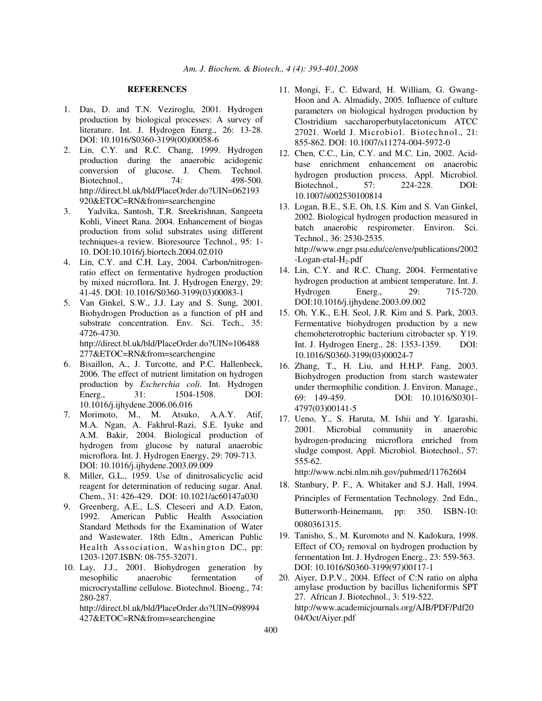## **REFERENCES**

- 1. Das, D. and T.N. Veziroglu, 2001. Hydrogen production by biological processes: A survey of literature. Int. J. Hydrogen Energ., 26: 13-28. DOI: 10.1016/S0360-3199(00)00058-6
- 2. Lin, C.Y. and R.C. Chang, 1999. Hydrogen production during the anaerobic acidogenic conversion of glucose. J. Chem. Technol. Biotechnol., 74: 498-500. http://direct.bl.uk/bld/PlaceOrder.do?UIN=062193 920&ETOC=RN&from=searchengine
- 3. Yadvika, Santosh, T.R. Sreekrishnan, Sangeeta Kohli, Vineet Rana. 2004. Enhancement of biogas production from solid substrates using different techniques-a review. Bioresource Technol., 95: 1- 10. DOI:10.1016/j.biortech.2004.02.010
- 4. Lin, C.Y. and C.H. Lay, 2004. Carbon/nitrogenratio effect on fermentative hydrogen production by mixed microflora. Int. J. Hydrogen Energy, 29: 41-45. DOI: 10.1016/S0360-3199(03)00083-1
- 5. Van Ginkel, S.W., J.J. Lay and S. Sung, 2001. Biohydrogen Production as a function of pH and substrate concentration. Env. Sci. Tech., 35: 4726-4730. http://direct.bl.uk/bld/PlaceOrder.do?UIN=106488 277&ETOC=RN&from=searchengine
- 6. Bisaillon, A., J. Turcotte, and P.C. Hallenbeck, 2006. The effect of nutrient limitation on hydrogen production by *Escherchia coli*. Int. Hydrogen Energ., 31: 1504-1508. DOI: 10.1016/j.ijhydene.2006.06.016
- 7. Morimoto, M., M. Atsuko, A.A.Y. Atif, M.A. Ngan, A. Fakhrul-Razi, S.E. Iyuke and A.M. Bakir, 2004. Biological production of hydrogen from glucose by natural anaerobic microflora. Int. J. Hydrogen Energy, 29: 709-713. DOI: 10.1016/j.ijhydene.2003.09.009
- 8. Miller, G.L., 1959. Use of dinitrosalicyclic acid reagent for determination of reducing sugar. Anal. Chem., 31: 426-429. DOI: 10.1021/ac60147a030
- 9. Greenberg, A.E., L.S. Clesceri and A.D. Eaton, 1992. American Public Health Association Standard Methods for the Examination of Water and Wastewater. 18th Edtn., American Public Health Association, Washington DC., pp: 1203-1207.ISBN: 08-755-32071.
- 10. Lay, J.J., 2001. Biohydrogen generation by mesophilic anaerobic fermentation of microcrystalline cellulose. Biotechnol. Bioeng., 74: 280-287.

http://direct.bl.uk/bld/PlaceOrder.do?UIN=098994 427&ETOC=RN&from=searchengine

- 11. Mongi, F., C. Edward, H. William, G. Gwang-Hoon and A. Almadidy, 2005. Influence of culture parameters on biological hydrogen production by Clostridium saccharoperbutylacetonicum ATCC 27021. World J. Microbiol. Biotechnol., 21: 855-862. DOI: 10.1007/s11274-004-5972-0
- 12. Chen, C.C., Lin, C.Y. and M.C. Lin, 2002. Acidbase enrichment enhancement on anaerobic hydrogen production process. Appl. Microbiol. Biotechnol., 57: 224-228. DOI: 10.1007/s002530100814
- 13. Logan, B.E., S.E. Oh, I.S. Kim and S. Van Ginkel, 2002. Biological hydrogen production measured in batch anaerobic respirometer. Environ. Sci. Technol., 36: 2530-2535. http://www.engr.psu.edu/ce/enve/publications/2002  $-Logan-etal-H<sub>2</sub>.pdf$
- 14. Lin, C.Y. and R.C. Chang, 2004. Fermentative hydrogen production at ambient temperature. Int. J. Hydrogen Energ., 29: 715-720. DOI:10.1016/j.ijhydene.2003.09.002
- 15. Oh, Y.K., E.H. Seol, J.R. Kim and S. Park, 2003. Fermentative biohydrogen production by a new chemoheterotrophic bacterium citrobacter sp. Y19. Int. J. Hydrogen Energ., 28: 1353-1359. DOI: 10.1016/S0360-3199(03)00024-7
- 16. Zhang, T., H. Liu, and H.H.P. Fang, 2003. Biohydrogen production from starch wastewater under thermophilic condition. J. Environ. Manage., 69: 149-459. DOI: 10.1016/S0301- 4797(03)00141-5
- 17. Ueno, Y., S. Haruta, M. Ishii and Y. Igarashi, 2001. Microbial community in anaerobic hydrogen-producing microflora enriched from sludge compost. Appl. Microbiol. Biotechnol., 57: 555-62.

http://www.ncbi.nlm.nih.gov/pubmed/11762604

- 18. Stanbury, P. F., A. Whitaker and S.J. Hall, 1994. Principles of Fermentation Technology. 2nd Edn., Butterworth-Heinemann, pp: 350. ISBN-10: 0080361315.
- 19. Tanisho, S., M. Kuromoto and N. Kadokura, 1998. Effect of  $CO<sub>2</sub>$  removal on hydrogen production by fermentation Int. J. Hydrogen Energ., 23: 559-563. DOI: 10.1016/S0360-3199(97)00117-1
- 20. Aiyer, D.P.V., 2004. Effect of C:N ratio on alpha amylase production by bacillus licheniformis SPT 27. African J. Biotechnol., 3: 519-522. http://www.academicjournals.org/AJB/PDF/Pdf20 04/Oct/Aiyer.pdf